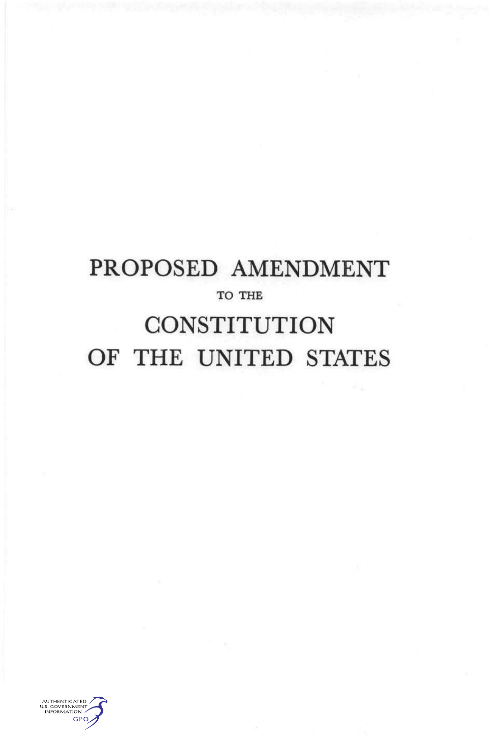# PROPOSED AMENDMENT TO THE **CONSTITUTION**

OF THE UNITED STATES

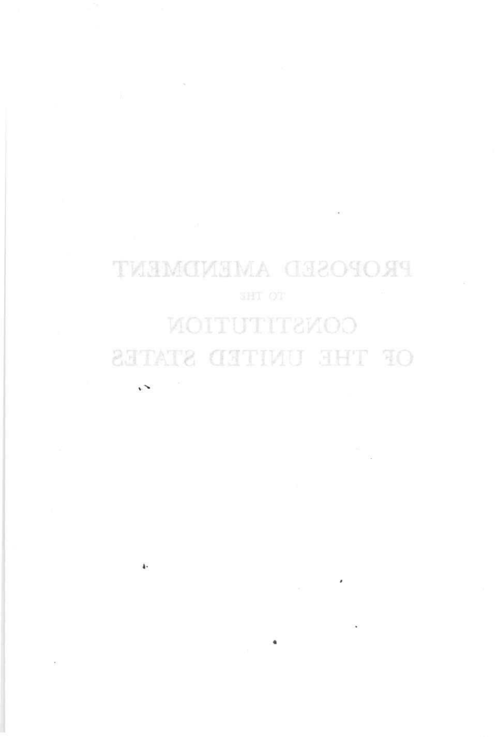# PROPOSED AMENDMENT CONSTITUTION OF THE UNITED STATES  $\mathcal{L}$

 $\sim 1000$ 

 $\frac{1}{\alpha}$  .

 $\epsilon$  .

 $\bullet$ 

 $\bullet$ 

 $\mathbf{k}$  and  $\mathbf{k}$ 

 $\ddot{\phantom{a}}$ 

 $\mathcal{D}^{\text{c}}$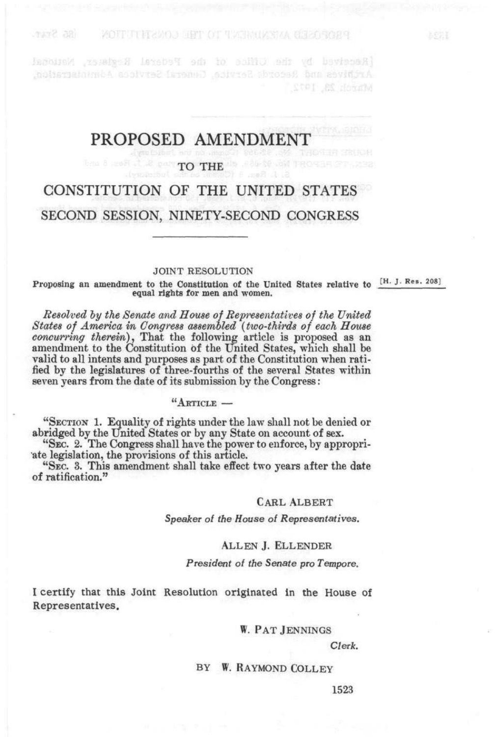nam Stram. **MOTTITIERMON NET OT TVERNIKENA ENZANDER** 

Received by the Giffice of the Petersk Researcy Network

## PROPOSED AMENDMENT

## ban 8 and 1 2 part TO THE

# CONSTITUTION OF THE UNITED STATES SECOND SESSION, NINETY-SECOND CONGRESS

#### JOINT RESOLUTION

Proposing an amendment to the Constitution of the United States relative to [H. J. Res. 208] equal rights for men and women.

*Resolved by the Senate and House of Bepresentatives of the United States of America in Congress assembled {two-thirds of each House concurring therein*), That the following article is proposed as an amendment to the Constitution of the United States, which shall be valid to all intents and purposes as part of the Constitution when ratified by the legislatures of three-fourths of the several States within seven years from the date of its submission by the Congress:

### $"$ ARTICLE —

"SECTION 1. Equality of rights under the law shall not be denied or abridged by the United States or by any State on account of sex.

"SEC. 2. The Congress shall have the power to enforce, by appropriate legislation, the provisions of this article.

"SEC. 3. This amendment shall take effect two years after the date of ratification."

#### CARL ALBERT

*Speaker of the House of Representatives.* 

#### ALLEN J. ELLENDER

#### *President of the Senate pro Tempore.*

I certify that this Joint Resolution originated in the House of Representatives,

#### W. PAT JENNINGS

*Clerk.* 

### BY W. RAYMOND COLLEY

1523